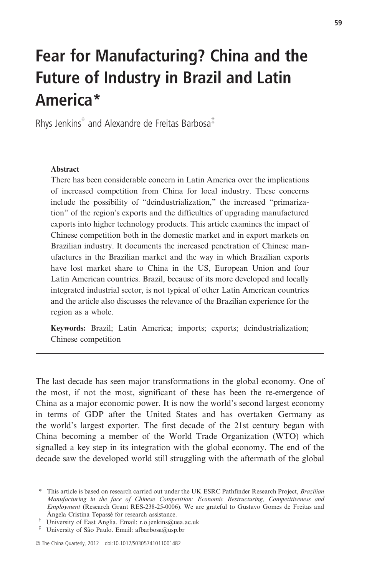# Fear for Manufacturing? China and the Future of Industry in Brazil and Latin America\*

Rhys Jenkins† and Alexandre de Freitas Barbosa‡

## Abstract

There has been considerable concern in Latin America over the implications of increased competition from China for local industry. These concerns include the possibility of "deindustrialization," the increased "primarization" of the region's exports and the difficulties of upgrading manufactured exports into higher technology products. This article examines the impact of Chinese competition both in the domestic market and in export markets on Brazilian industry. It documents the increased penetration of Chinese manufactures in the Brazilian market and the way in which Brazilian exports have lost market share to China in the US, European Union and four Latin American countries. Brazil, because of its more developed and locally integrated industrial sector, is not typical of other Latin American countries and the article also discusses the relevance of the Brazilian experience for the region as a whole.

Keywords: Brazil; Latin America; imports; exports; deindustrialization; Chinese competition

The last decade has seen major transformations in the global economy. One of the most, if not the most, significant of these has been the re-emergence of China as a major economic power. It is now the world's second largest economy in terms of GDP after the United States and has overtaken Germany as the world's largest exporter. The first decade of the 21st century began with China becoming a member of the World Trade Organization (WTO) which signalled a key step in its integration with the global economy. The end of the decade saw the developed world still struggling with the aftermath of the global

<sup>\*</sup> This article is based on research carried out under the UK ESRC Pathfinder Research Project, Brazilian Manufacturing in the face of Chinese Competition: Economic Restructuring, Competitiveness and Employment (Research Grant RES-238-25-0006). We are grateful to Gustavo Gomes de Freitas and Ângela Cristina Tepassê for research assistance.

<sup>†</sup> University of East Anglia. Email: r.o.jenkins@uea.ac.uk

<sup>‡</sup> University of São Paulo. Email: afbarbosa@usp.br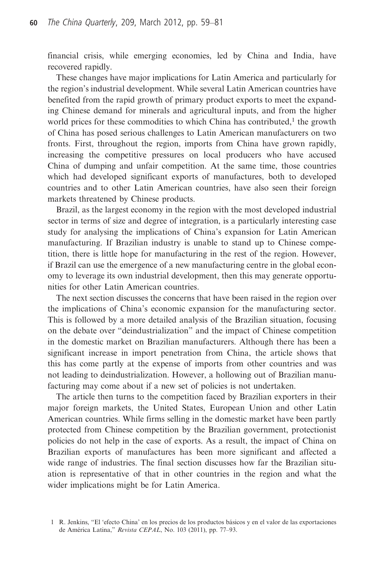financial crisis, while emerging economies, led by China and India, have recovered rapidly.

These changes have major implications for Latin America and particularly for the region's industrial development. While several Latin American countries have benefited from the rapid growth of primary product exports to meet the expanding Chinese demand for minerals and agricultural inputs, and from the higher world prices for these commodities to which China has contributed, $<sup>1</sup>$  the growth</sup> of China has posed serious challenges to Latin American manufacturers on two fronts. First, throughout the region, imports from China have grown rapidly, increasing the competitive pressures on local producers who have accused China of dumping and unfair competition. At the same time, those countries which had developed significant exports of manufactures, both to developed countries and to other Latin American countries, have also seen their foreign markets threatened by Chinese products.

Brazil, as the largest economy in the region with the most developed industrial sector in terms of size and degree of integration, is a particularly interesting case study for analysing the implications of China's expansion for Latin American manufacturing. If Brazilian industry is unable to stand up to Chinese competition, there is little hope for manufacturing in the rest of the region. However, if Brazil can use the emergence of a new manufacturing centre in the global economy to leverage its own industrial development, then this may generate opportunities for other Latin American countries.

The next section discusses the concerns that have been raised in the region over the implications of China's economic expansion for the manufacturing sector. This is followed by a more detailed analysis of the Brazilian situation, focusing on the debate over "deindustrialization" and the impact of Chinese competition in the domestic market on Brazilian manufacturers. Although there has been a significant increase in import penetration from China, the article shows that this has come partly at the expense of imports from other countries and was not leading to deindustrialization. However, a hollowing out of Brazilian manufacturing may come about if a new set of policies is not undertaken.

The article then turns to the competition faced by Brazilian exporters in their major foreign markets, the United States, European Union and other Latin American countries. While firms selling in the domestic market have been partly protected from Chinese competition by the Brazilian government, protectionist policies do not help in the case of exports. As a result, the impact of China on Brazilian exports of manufactures has been more significant and affected a wide range of industries. The final section discusses how far the Brazilian situation is representative of that in other countries in the region and what the wider implications might be for Latin America.

<sup>1</sup> R. Jenkins, "El 'efecto China' en los precios de los productos básicos y en el valor de las exportaciones de América Latina," Revista CEPAL, No. 103 (2011), pp. 77–93.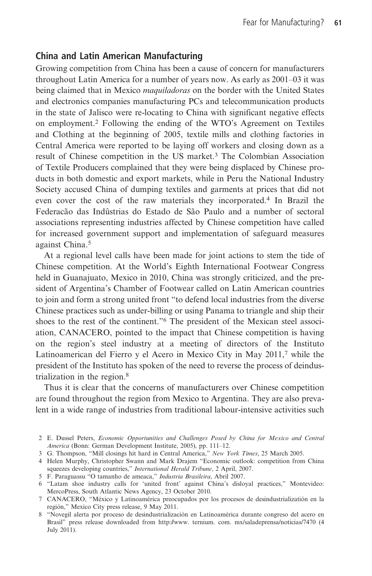# China and Latin American Manufacturing

Growing competition from China has been a cause of concern for manufacturers throughout Latin America for a number of years now. As early as 2001–03 it was being claimed that in Mexico maquiladoras on the border with the United States and electronics companies manufacturing PCs and telecommunication products in the state of Jalisco were re-locating to China with significant negative effects on employment.<sup>2</sup> Following the ending of the WTO's Agreement on Textiles and Clothing at the beginning of 2005, textile mills and clothing factories in Central America were reported to be laying off workers and closing down as a result of Chinese competition in the US market.3 The Colombian Association of Textile Producers complained that they were being displaced by Chinese products in both domestic and export markets, while in Peru the National Industry Society accused China of dumping textiles and garments at prices that did not even cover the cost of the raw materials they incorporated.<sup>4</sup> In Brazil the Federacão das Indûstrias do Estado de São Paulo and a number of sectoral associations representing industries affected by Chinese competition have called for increased government support and implementation of safeguard measures against China.5

At a regional level calls have been made for joint actions to stem the tide of Chinese competition. At the World's Eighth International Footwear Congress held in Guanajuato, Mexico in 2010, China was strongly criticized, and the president of Argentina's Chamber of Footwear called on Latin American countries to join and form a strong united front "to defend local industries from the diverse Chinese practices such as under-billing or using Panama to triangle and ship their shoes to the rest of the continent."<sup>6</sup> The president of the Mexican steel association, CANACERO, pointed to the impact that Chinese competition is having on the region's steel industry at a meeting of directors of the Instituto Latinoamerican del Fierro y el Acero in Mexico City in May 2011,<sup>7</sup> while the president of the Instituto has spoken of the need to reverse the process of deindustrialization in the region.8

Thus it is clear that the concerns of manufacturers over Chinese competition are found throughout the region from Mexico to Argentina. They are also prevalent in a wide range of industries from traditional labour-intensive activities such

<sup>2</sup> E. Dussel Peters, Economic Opportunities and Challenges Posed by China for Mexico and Central America (Bonn: German Development Institute, 2005), pp. 111–12.

<sup>3</sup> G. Thompson, "Mill closings hit hard in Central America," New York Times, 25 March 2005.

<sup>4</sup> Helen Murphy, Christopher Swann and Mark Drajem "Economic outlook: competition from China squeezes developing countries," International Herald Tribune, 2 April, 2007.

<sup>5</sup> F. Paraguassu "O tamanho de ameaca," Industria Brasileira, Abril 2007.

<sup>6</sup> "Latam shoe industry calls for 'united front' against China's disloyal practices," Montevideo: MercoPress, South Atlantic News Agency, 23 October 2010.

<sup>7</sup> CANACERO, "México y Latinoamérica preocupados por los procesos de desindustrializatión en la región," Mexico City press release, 9 May 2011.

<sup>8</sup> "Novegil alerta por proceso de desindustrialización en Latinoamérica durante congreso del acero en Brasil" press release downloaded from http://www. ternium. com. mx/saladeprensa/noticias/7470 (4 July 2011).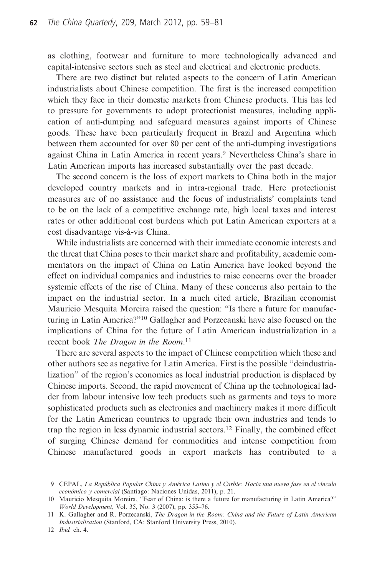as clothing, footwear and furniture to more technologically advanced and capital-intensive sectors such as steel and electrical and electronic products.

There are two distinct but related aspects to the concern of Latin American industrialists about Chinese competition. The first is the increased competition which they face in their domestic markets from Chinese products. This has led to pressure for governments to adopt protectionist measures, including application of anti-dumping and safeguard measures against imports of Chinese goods. These have been particularly frequent in Brazil and Argentina which between them accounted for over 80 per cent of the anti-dumping investigations against China in Latin America in recent years.<sup>9</sup> Nevertheless China's share in Latin American imports has increased substantially over the past decade.

The second concern is the loss of export markets to China both in the major developed country markets and in intra-regional trade. Here protectionist measures are of no assistance and the focus of industrialists' complaints tend to be on the lack of a competitive exchange rate, high local taxes and interest rates or other additional cost burdens which put Latin American exporters at a cost disadvantage vis-à-vis China.

While industrialists are concerned with their immediate economic interests and the threat that China poses to their market share and profitability, academic commentators on the impact of China on Latin America have looked beyond the effect on individual companies and industries to raise concerns over the broader systemic effects of the rise of China. Many of these concerns also pertain to the impact on the industrial sector. In a much cited article, Brazilian economist Mauricio Mesquita Moreira raised the question: "Is there a future for manufacturing in Latin America?"<sup>10</sup> Gallagher and Porzecanski have also focused on the implications of China for the future of Latin American industrialization in a recent book The Dragon in the Room.<sup>11</sup>

There are several aspects to the impact of Chinese competition which these and other authors see as negative for Latin America. First is the possible "deindustrialization" of the region's economies as local industrial production is displaced by Chinese imports. Second, the rapid movement of China up the technological ladder from labour intensive low tech products such as garments and toys to more sophisticated products such as electronics and machinery makes it more difficult for the Latin American countries to upgrade their own industries and tends to trap the region in less dynamic industrial sectors.<sup>12</sup> Finally, the combined effect of surging Chinese demand for commodities and intense competition from Chinese manufactured goods in export markets has contributed to a

12 Ibid. ch. 4.

<sup>9</sup> CEPAL, La República Popular China y América Latina y el Carbie: Hacia una nueva fase en el vínculo económico y comercial (Santiago: Naciones Unidas, 2011), p. 21.

<sup>10</sup> Mauricio Mesquita Moreira, "Fear of China: is there a future for manufacturing in Latin America?" World Development, Vol. 35, No. 3 (2007), pp. 355–76.

<sup>11</sup> K. Gallagher and R. Porzecanski, The Dragon in the Room: China and the Future of Latin American Industrialization (Stanford, CA: Stanford University Press, 2010).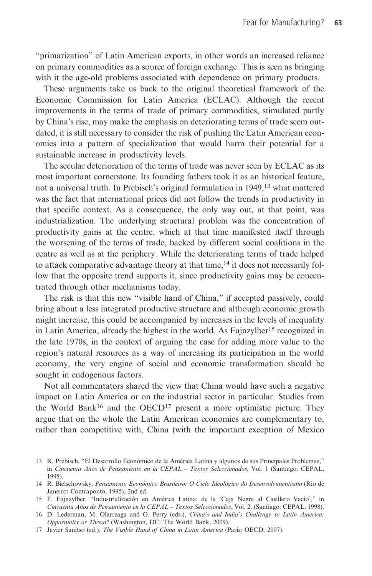"primarization" of Latin American exports, in other words an increased reliance on primary commodities as a source of foreign exchange. This is seen as bringing with it the age-old problems associated with dependence on primary products.

These arguments take us back to the original theoretical framework of the Economic Commission for Latin America (ECLAC). Although the recent improvements in the terms of trade of primary commodities, stimulated partly by China's rise, may make the emphasis on deteriorating terms of trade seem outdated, it is still necessary to consider the risk of pushing the Latin American economies into a pattern of specialization that would harm their potential for a sustainable increase in productivity levels.

The secular deterioration of the terms of trade was never seen by ECLAC as its most important cornerstone. Its founding fathers took it as an historical feature, not a universal truth. In Prebisch's original formulation in 1949,<sup>13</sup> what mattered was the fact that international prices did not follow the trends in productivity in that specific context. As a consequence, the only way out, at that point, was industrialization. The underlying structural problem was the concentration of productivity gains at the centre, which at that time manifested itself through the worsening of the terms of trade, backed by different social coalitions in the centre as well as at the periphery. While the deteriorating terms of trade helped to attack comparative advantage theory at that time,<sup>14</sup> it does not necessarily follow that the opposite trend supports it, since productivity gains may be concentrated through other mechanisms today.

The risk is that this new "visible hand of China," if accepted passively, could bring about a less integrated productive structure and although economic growth might increase, this could be accompanied by increases in the levels of inequality in Latin America, already the highest in the world. As Fajnzylber<sup>15</sup> recognized in the late 1970s, in the context of arguing the case for adding more value to the region's natural resources as a way of increasing its participation in the world economy, the very engine of social and economic transformation should be sought in endogenous factors.

Not all commentators shared the view that China would have such a negative impact on Latin America or on the industrial sector in particular. Studies from the World Bank<sup>16</sup> and the OECD<sup>17</sup> present a more optimistic picture. They argue that on the whole the Latin American economies are complementary to, rather than competitive with, China (with the important exception of Mexico

<sup>13</sup> R. Prebisch, "El Desarrollo Econômico de la América Latina y algunos de sus Principales Problemas," in Cincuenta Años de Pensamiento en la CEPAL – Textos Seleccionados, Vol. 1 (Santiago: CEPAL, 1998).

<sup>14</sup> R. Bielschowsky, Pensamento Econômico Brasileiro: O Ciclo Ideológico do Desenvolvimentismo (Rio de Janeiro: Contraponto, 1995), 2nd ed.

<sup>15</sup> F. Fajnzylber, "Industrialización en América Latina: de la 'Caja Negra al Casillero Vacío'," in Cincuenta Años de Pensamiento en la CEPAL – Textos Seleccionados, Vol. 2. (Santiago: CEPAL, 1998).

<sup>16</sup> D. Lederman, M. Olarreaga and G. Perry (eds.), China's and India's Challenge to Latin America: Opportunity or Threat? (Washington, DC: The World Bank, 2009).

<sup>17</sup> Javier Sanitso (ed.), The Visible Hand of China in Latin America (Paris: OECD, 2007).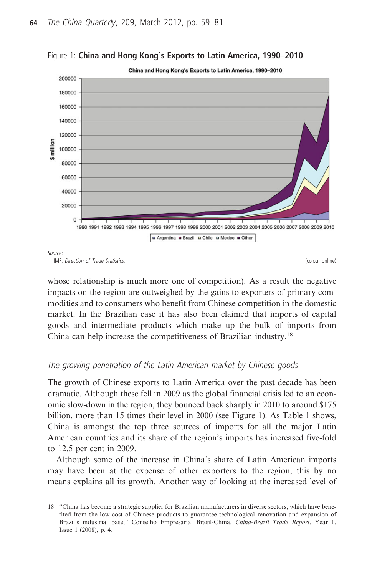

Figure 1: China and Hong Kong's Exports to Latin America, 1990–2010

whose relationship is much more one of competition). As a result the negative impacts on the region are outweighed by the gains to exporters of primary commodities and to consumers who benefit from Chinese competition in the domestic market. In the Brazilian case it has also been claimed that imports of capital goods and intermediate products which make up the bulk of imports from China can help increase the competitiveness of Brazilian industry.<sup>18</sup>

## The growing penetration of the Latin American market by Chinese goods

The growth of Chinese exports to Latin America over the past decade has been dramatic. Although these fell in 2009 as the global financial crisis led to an economic slow-down in the region, they bounced back sharply in 2010 to around \$175 billion, more than 15 times their level in 2000 (see Figure 1). As Table 1 shows, China is amongst the top three sources of imports for all the major Latin American countries and its share of the region's imports has increased five-fold to 12.5 per cent in 2009.

Although some of the increase in China's share of Latin American imports may have been at the expense of other exporters to the region, this by no means explains all its growth. Another way of looking at the increased level of

IMF, Direction of Trade Statistics. (colour online)

<sup>18</sup> "China has become a strategic supplier for Brazilian manufacturers in diverse sectors, which have benefited from the low cost of Chinese products to guarantee technological renovation and expansion of Brazil's industrial base," Conselho Empresarial Brasil-China, China-Brazil Trade Report, Year 1, Issue 1 (2008), p. 4.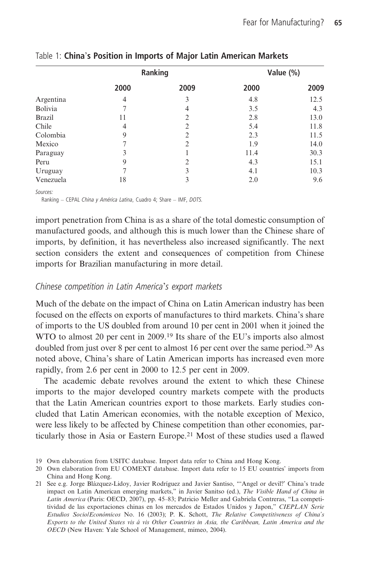|                | Ranking |                |      | Value (%) |  |
|----------------|---------|----------------|------|-----------|--|
|                | 2000    | 2009           | 2000 | 2009      |  |
| Argentina      | 4       | 3              | 4.8  | 12.5      |  |
| <b>Bolivia</b> |         | 4              | 3.5  | 4.3       |  |
| <b>Brazil</b>  | 11      | $\overline{2}$ | 2.8  | 13.0      |  |
| Chile          | 4       | $\overline{2}$ | 5.4  | 11.8      |  |
| Colombia       | 9       | 2              | 2.3  | 11.5      |  |
| Mexico         |         | $\overline{2}$ | 1.9  | 14.0      |  |
| Paraguay       | 3       |                | 11.4 | 30.3      |  |
| Peru           | 9       | 2              | 4.3  | 15.1      |  |
| Uruguay        |         | 3              | 4.1  | 10.3      |  |
| Venezuela      | 18      | 3              | 2.0  | 9.6       |  |

Table 1: China's Position in Imports of Major Latin American Markets

Sources:

Ranking – CEPAL China y América Latina, Cuadro 4; Share – IMF, DOTS.

import penetration from China is as a share of the total domestic consumption of manufactured goods, and although this is much lower than the Chinese share of imports, by definition, it has nevertheless also increased significantly. The next section considers the extent and consequences of competition from Chinese imports for Brazilian manufacturing in more detail.

## Chinese competition in Latin America's export markets

Much of the debate on the impact of China on Latin American industry has been focused on the effects on exports of manufactures to third markets. China's share of imports to the US doubled from around 10 per cent in 2001 when it joined the WTO to almost 20 per cent in 2009.<sup>19</sup> Its share of the EU's imports also almost doubled from just over 8 per cent to almost 16 per cent over the same period.20 As noted above, China's share of Latin American imports has increased even more rapidly, from 2.6 per cent in 2000 to 12.5 per cent in 2009.

The academic debate revolves around the extent to which these Chinese imports to the major developed country markets compete with the products that the Latin American countries export to those markets. Early studies concluded that Latin American economies, with the notable exception of Mexico, were less likely to be affected by Chinese competition than other economies, particularly those in Asia or Eastern Europe.<sup>21</sup> Most of these studies used a flawed

<sup>19</sup> Own elaboration from USITC database. Import data refer to China and Hong Kong.

<sup>20</sup> Own elaboration from EU COMEXT database. Import data refer to 15 EU countries' imports from China and Hong Kong.

<sup>21</sup> See e.g. Jorge Blázquez-Lidoy, Javier Rodríguez and Javier Santiso, "'Angel or devil?' China's trade impact on Latin American emerging markets," in Javier Sanitso (ed.), The Visible Hand of China in Latin America (Paris: OECD, 2007), pp. 45–83; Patricio Meller and Gabriela Contreras, "La competitividad de las exportaciones chinas en los mercados de Estados Unidos y Japon," CIEPLAN Serie Estudios Socio/Económicos No. 16 (2003); P. K. Schott, The Relative Competitiveness of China's Exports to the United States vis á vis Other Countries in Asia, the Caribbean, Latin America and the OECD (New Haven: Yale School of Management, mimeo, 2004).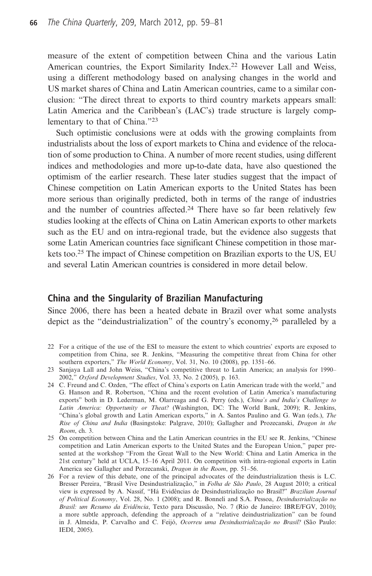measure of the extent of competition between China and the various Latin American countries, the Export Similarity Index.<sup>22</sup> However Lall and Weiss, using a different methodology based on analysing changes in the world and US market shares of China and Latin American countries, came to a similar conclusion: "The direct threat to exports to third country markets appears small: Latin America and the Caribbean's (LAC's) trade structure is largely complementary to that of China."<sup>23</sup>

Such optimistic conclusions were at odds with the growing complaints from industrialists about the loss of export markets to China and evidence of the relocation of some production to China. A number of more recent studies, using different indices and methodologies and more up-to-date data, have also questioned the optimism of the earlier research. These later studies suggest that the impact of Chinese competition on Latin American exports to the United States has been more serious than originally predicted, both in terms of the range of industries and the number of countries affected.24 There have so far been relatively few studies looking at the effects of China on Latin American exports to other markets such as the EU and on intra-regional trade, but the evidence also suggests that some Latin American countries face significant Chinese competition in those markets too.25 The impact of Chinese competition on Brazilian exports to the US, EU and several Latin American countries is considered in more detail below.

# China and the Singularity of Brazilian Manufacturing

Since 2006, there has been a heated debate in Brazil over what some analysts depict as the "deindustrialization" of the country's economy,26 paralleled by a

- 22 For a critique of the use of the ESI to measure the extent to which countries' exports are exposed to competition from China, see R. Jenkins, "Measuring the competitive threat from China for other southern exporters," The World Economy, Vol. 31, No. 10 (2008), pp. 1351-66.
- 23 Sanjaya Lall and John Weiss, "China's competitive threat to Latin America; an analysis for 1990– 2002," Oxford Development Studies, Vol. 33, No. 2 (2005), p. 163.
- 24 C. Freund and C. Ozden, "The effect of China's exports on Latin American trade with the world," and G. Hanson and R. Robertson, "China and the recent evolution of Latin America's manufacturing exports" both in D. Lederman, M. Olarreaga and G. Perry (eds.), China's and India's Challenge to Latin America: Opportunity or Theat? (Washington, DC: The World Bank, 2009); R. Jenkins, "China's global growth and Latin American exports," in A. Santos Paulino and G. Wan (eds.), The Rise of China and India (Basingstoke: Palgrave, 2010); Gallagher and Prozecanski, Dragon in the Room, ch. 3.
- 25 On competition between China and the Latin American countries in the EU see R. Jenkins, "Chinese competition and Latin American exports to the United States and the European Union," paper presented at the workshop "From the Great Wall to the New World: China and Latin America in the 21st century" held at UCLA, 15–16 April 2011. On competition with intra-regional exports in Latin America see Gallagher and Porzecanski, Dragon in the Room, pp. 51–56.
- 26 For a review of this debate, one of the principal advocates of the deindustrialization thesis is L.C. Bresser Pereira, "Brasil Vive Desindustrialização," in Folha de São Paulo, 28 August 2010; a critical view is expressed by A. Nassif, "Há Evidências de Desindustrialização no Brasil?" Brazilian Journal of Political Economy, Vol. 28, No. 1 (2008); and R. Bonneli and S.A. Pessoa, Desindustrialização no Brasil: um Resumo da Evidência, Texto para Discussão, No. 7 (Rio de Janeiro: IBRE/FGV, 2010); a more subtle approach, defending the approach of a "relative deindustrialization" can be found in J. Almeida, P. Carvalho and C. Feijó, Ocorreu uma Desindustrialização no Brasil? (São Paulo: IEDI, 2005).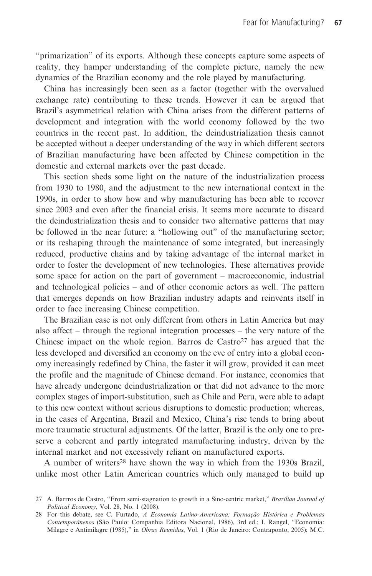"primarization" of its exports. Although these concepts capture some aspects of reality, they hamper understanding of the complete picture, namely the new dynamics of the Brazilian economy and the role played by manufacturing.

China has increasingly been seen as a factor (together with the overvalued exchange rate) contributing to these trends. However it can be argued that Brazil's asymmetrical relation with China arises from the different patterns of development and integration with the world economy followed by the two countries in the recent past. In addition, the deindustrialization thesis cannot be accepted without a deeper understanding of the way in which different sectors of Brazilian manufacturing have been affected by Chinese competition in the domestic and external markets over the past decade.

This section sheds some light on the nature of the industrialization process from 1930 to 1980, and the adjustment to the new international context in the 1990s, in order to show how and why manufacturing has been able to recover since 2003 and even after the financial crisis. It seems more accurate to discard the deindustrialization thesis and to consider two alternative patterns that may be followed in the near future: a "hollowing out" of the manufacturing sector; or its reshaping through the maintenance of some integrated, but increasingly reduced, productive chains and by taking advantage of the internal market in order to foster the development of new technologies. These alternatives provide some space for action on the part of government – macroeconomic, industrial and technological policies – and of other economic actors as well. The pattern that emerges depends on how Brazilian industry adapts and reinvents itself in order to face increasing Chinese competition.

The Brazilian case is not only different from others in Latin America but may also affect – through the regional integration processes – the very nature of the Chinese impact on the whole region. Barros de Castro<sup>27</sup> has argued that the less developed and diversified an economy on the eve of entry into a global economy increasingly redefined by China, the faster it will grow, provided it can meet the profile and the magnitude of Chinese demand. For instance, economies that have already undergone deindustrialization or that did not advance to the more complex stages of import-substitution, such as Chile and Peru, were able to adapt to this new context without serious disruptions to domestic production; whereas, in the cases of Argentina, Brazil and Mexico, China's rise tends to bring about more traumatic structural adjustments. Of the latter, Brazil is the only one to preserve a coherent and partly integrated manufacturing industry, driven by the internal market and not excessively reliant on manufactured exports.

A number of writers28 have shown the way in which from the 1930s Brazil, unlike most other Latin American countries which only managed to build up

<sup>27</sup> A. Barrros de Castro, "From semi-stagnation to growth in a Sino-centric market," Brazilian Journal of Political Economy, Vol. 28, No. 1 (2008).

<sup>28</sup> For this debate, see C. Furtado, A Economia Latino-Americana: Formação Histórica e Problemas Contemporânenos (São Paulo: Companhia Editora Nacional, 1986), 3rd ed.; I. Rangel, "Economia: Milagre e Antimilagre (1985)," in Obras Reunidas, Vol. 1 (Rio de Janeiro: Contraponto, 2005); M.C.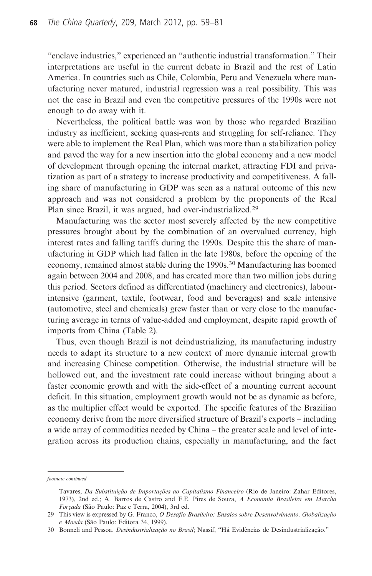"enclave industries," experienced an "authentic industrial transformation." Their interpretations are useful in the current debate in Brazil and the rest of Latin America. In countries such as Chile, Colombia, Peru and Venezuela where manufacturing never matured, industrial regression was a real possibility. This was not the case in Brazil and even the competitive pressures of the 1990s were not enough to do away with it.

Nevertheless, the political battle was won by those who regarded Brazilian industry as inefficient, seeking quasi-rents and struggling for self-reliance. They were able to implement the Real Plan, which was more than a stabilization policy and paved the way for a new insertion into the global economy and a new model of development through opening the internal market, attracting FDI and privatization as part of a strategy to increase productivity and competitiveness. A falling share of manufacturing in GDP was seen as a natural outcome of this new approach and was not considered a problem by the proponents of the Real Plan since Brazil, it was argued, had over-industrialized.<sup>29</sup>

Manufacturing was the sector most severely affected by the new competitive pressures brought about by the combination of an overvalued currency, high interest rates and falling tariffs during the 1990s. Despite this the share of manufacturing in GDP which had fallen in the late 1980s, before the opening of the economy, remained almost stable during the 1990s.<sup>30</sup> Manufacturing has boomed again between 2004 and 2008, and has created more than two million jobs during this period. Sectors defined as differentiated (machinery and electronics), labourintensive (garment, textile, footwear, food and beverages) and scale intensive (automotive, steel and chemicals) grew faster than or very close to the manufacturing average in terms of value-added and employment, despite rapid growth of imports from China (Table 2).

Thus, even though Brazil is not deindustrializing, its manufacturing industry needs to adapt its structure to a new context of more dynamic internal growth and increasing Chinese competition. Otherwise, the industrial structure will be hollowed out, and the investment rate could increase without bringing about a faster economic growth and with the side-effect of a mounting current account deficit. In this situation, employment growth would not be as dynamic as before, as the multiplier effect would be exported. The specific features of the Brazilian economy derive from the more diversified structure of Brazil's exports – including a wide array of commodities needed by China – the greater scale and level of integration across its production chains, especially in manufacturing, and the fact

footnote continued

Tavares, Da Substituição de Importações ao Capitalismo Financeiro (Rio de Janeiro: Zahar Editores, 1973), 2nd ed.; A. Barros de Castro and F.E. Pires de Souza, A Economia Brasileira em Marcha Forçada (São Paulo: Paz e Terra, 2004), 3rd ed.

<sup>29</sup> This view is expressed by G. Franco, O Desafio Brasileiro: Ensaios sobre Desenvolvimento, Globalização e Moeda (São Paulo: Editora 34, 1999).

<sup>30</sup> Bonneli and Pessoa. Desindustrialização no Brasil; Nassif, "Há Evidências de Desindustrialização."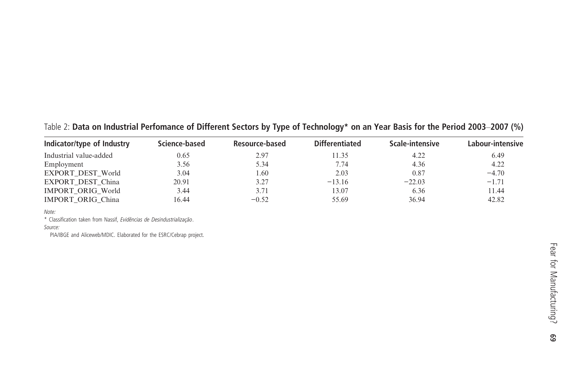Indicator/type of Industry Science-based Resource-based Differentiated Scale-intensive Labour-intensive Industrial value-added 0.65 2.97 11.35 4.22 6.49 Employment 3.56 5.34 7.74 4.36 4.22 EXPORT\_DEST\_World 3.04 1.60 2.03 0.87 −4.70 EXPORT\_DEST\_China 20.91 3.27 −13.16 −22.03 −1.71 IMPORT\_ORIG\_World 3.44 3.71 13.07 6.36 11.44 IMPORT\_ORIG\_China 16.44 −0.52 55.69 36.94 42.82

Table 2: Data on Industrial Perfomance of Different Sectors by Type of Technology\* on an Year Basis for the Period 2003–2007 (%)

#### Note:

\* Classification taken from Nassif, Evidências de Desindustrialização.

Source:

PIA/IBGE and Aliceweb/MDIC. Elaborated for the ESRC/Cebrap project.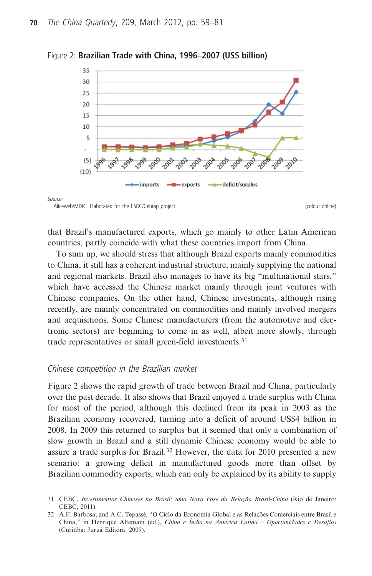

Figure 2: Brazilian Trade with China, 1996–2007 (US\$ billion)

#### Source:

Aliceweb/MDIC. Elaborated for the ESRC/Cebrap project. The colour online colour online)

that Brazil's manufactured exports, which go mainly to other Latin American countries, partly coincide with what these countries import from China.

To sum up, we should stress that although Brazil exports mainly commodities to China, it still has a coherent industrial structure, mainly supplying the national and regional markets. Brazil also manages to have its big "multinational stars," which have accessed the Chinese market mainly through joint ventures with Chinese companies. On the other hand, Chinese investments, although rising recently, are mainly concentrated on commodities and mainly involved mergers and acquisitions. Some Chinese manufacturers (from the automotive and electronic sectors) are beginning to come in as well, albeit more slowly, through trade representatives or small green-field investments.<sup>31</sup>

## Chinese competition in the Brazilian market

Figure 2 shows the rapid growth of trade between Brazil and China, particularly over the past decade. It also shows that Brazil enjoyed a trade surplus with China for most of the period, although this declined from its peak in 2003 as the Brazilian economy recovered, turning into a deficit of around US\$4 billion in 2008. In 2009 this returned to surplus but it seemed that only a combination of slow growth in Brazil and a still dynamic Chinese economy would be able to assure a trade surplus for Brazil.<sup>32</sup> However, the data for 2010 presented a new scenario: a growing deficit in manufactured goods more than offset by Brazilian commodity exports, which can only be explained by its ability to supply

<sup>31</sup> CEBC, Investimentos Chineses no Brasil: uma Nova Fase da Relação Brasil-China (Rio de Janeiro: CEBC, 2011).

<sup>32</sup> A.F. Barbosa, and A.C. Tepassê, "O Ciclo da Economia Global e as Relações Comerciais entre Brasil e China," in Henrique Altemani (ed.), China e Índia na América Latina – Oportunidades e Desafios (Curitiba: Juruá Editora. 2009).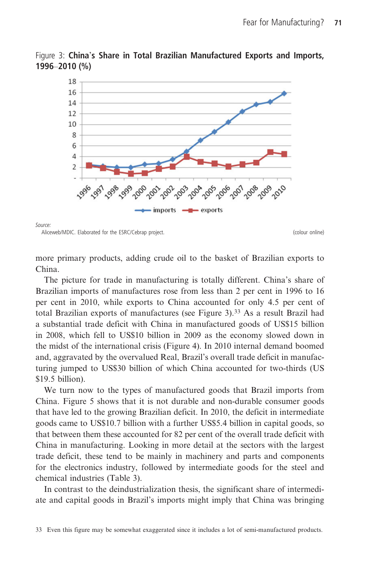

Figure 3: China's Share in Total Brazilian Manufactured Exports and Imports, 1996–2010 (%)

Source:

Aliceweb/MDIC. Elaborated for the ESRC/Cebrap project. The colour online colour online)

more primary products, adding crude oil to the basket of Brazilian exports to China.

The picture for trade in manufacturing is totally different. China's share of Brazilian imports of manufactures rose from less than 2 per cent in 1996 to 16 per cent in 2010, while exports to China accounted for only 4.5 per cent of total Brazilian exports of manufactures (see Figure 3).<sup>33</sup> As a result Brazil had a substantial trade deficit with China in manufactured goods of US\$15 billion in 2008, which fell to US\$10 billion in 2009 as the economy slowed down in the midst of the international crisis (Figure 4). In 2010 internal demand boomed and, aggravated by the overvalued Real, Brazil's overall trade deficit in manufacturing jumped to US\$30 billion of which China accounted for two-thirds (US \$19.5 billion).

We turn now to the types of manufactured goods that Brazil imports from China. Figure 5 shows that it is not durable and non-durable consumer goods that have led to the growing Brazilian deficit. In 2010, the deficit in intermediate goods came to US\$10.7 billion with a further US\$5.4 billion in capital goods, so that between them these accounted for 82 per cent of the overall trade deficit with China in manufacturing. Looking in more detail at the sectors with the largest trade deficit, these tend to be mainly in machinery and parts and components for the electronics industry, followed by intermediate goods for the steel and chemical industries (Table 3).

In contrast to the deindustrialization thesis, the significant share of intermediate and capital goods in Brazil's imports might imply that China was bringing

<sup>33</sup> Even this figure may be somewhat exaggerated since it includes a lot of semi-manufactured products.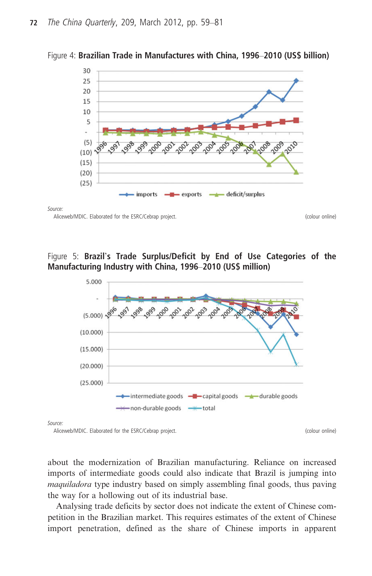



Source:

Aliceweb/MDIC. Elaborated for the ESRC/Cebrap project. The contract of the state of the Colour online)

# Figure 5: Brazil's Trade Surplus/Deficit by End of Use Categories of the Manufacturing Industry with China, 1996–2010 (US\$ million)



about the modernization of Brazilian manufacturing. Reliance on increased imports of intermediate goods could also indicate that Brazil is jumping into maquiladora type industry based on simply assembling final goods, thus paving the way for a hollowing out of its industrial base.

Analysing trade deficits by sector does not indicate the extent of Chinese competition in the Brazilian market. This requires estimates of the extent of Chinese import penetration, defined as the share of Chinese imports in apparent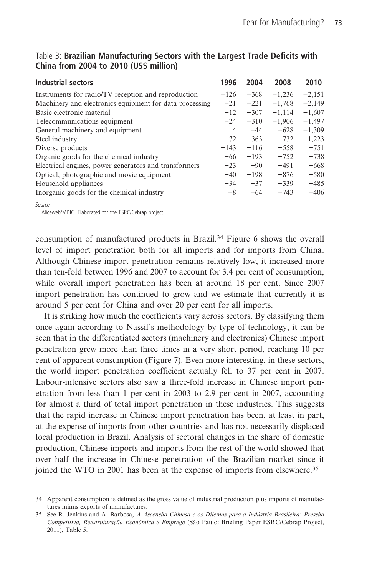| Industrial sectors                                      | 1996           | 2004   | 2008     | 2010     |
|---------------------------------------------------------|----------------|--------|----------|----------|
| Instruments for radio/TV reception and reproduction     | $-126$         | $-368$ | $-1,236$ | $-2.151$ |
| Machinery and electronics equipment for data processing | $-21$          | $-221$ | $-1,768$ | $-2,149$ |
| Basic electronic material                               | $-12$          | $-307$ | $-1,114$ | $-1,607$ |
| Telecommunications equipment                            | $-24$          | $-310$ | $-1,906$ | $-1,497$ |
| General machinery and equipment                         | $\overline{4}$ | $-44$  | $-628$   | $-1,309$ |
| Steel industry                                          | 72             | 363    | $-732$   | $-1,223$ |
| Diverse products                                        | $-143$         | $-116$ | $-5.58$  | $-751$   |
| Organic goods for the chemical industry                 | $-66$          | $-193$ | $-752$   | $-738$   |
| Electrical engines, power generators and transformers   | $-23$          | $-90$  | $-491$   | $-668$   |
| Optical, photographic and movie equipment               | $-40$          | $-198$ | $-876$   | $-580$   |
| Household appliances                                    | $-34$          | $-37$  | $-339$   | $-485$   |
| Inorganic goods for the chemical industry               | $-8$           | $-64$  | $-743$   | $-406$   |
| Source:                                                 |                |        |          |          |

Table 3: Brazilian Manufacturing Sectors with the Largest Trade Deficits with China from 2004 to 2010 (US\$ million)

Aliceweb/MDIC. Elaborated for the ESRC/Cebrap project.

consumption of manufactured products in Brazil.<sup>34</sup> Figure 6 shows the overall level of import penetration both for all imports and for imports from China. Although Chinese import penetration remains relatively low, it increased more than ten-fold between 1996 and 2007 to account for 3.4 per cent of consumption, while overall import penetration has been at around 18 per cent. Since 2007 import penetration has continued to grow and we estimate that currently it is around 5 per cent for China and over 20 per cent for all imports.

It is striking how much the coefficients vary across sectors. By classifying them once again according to Nassif's methodology by type of technology, it can be seen that in the differentiated sectors (machinery and electronics) Chinese import penetration grew more than three times in a very short period, reaching 10 per cent of apparent consumption (Figure 7). Even more interesting, in these sectors, the world import penetration coefficient actually fell to 37 per cent in 2007. Labour-intensive sectors also saw a three-fold increase in Chinese import penetration from less than 1 per cent in 2003 to 2.9 per cent in 2007, accounting for almost a third of total import penetration in these industries. This suggests that the rapid increase in Chinese import penetration has been, at least in part, at the expense of imports from other countries and has not necessarily displaced local production in Brazil. Analysis of sectoral changes in the share of domestic production, Chinese imports and imports from the rest of the world showed that over half the increase in Chinese penetration of the Brazilian market since it joined the WTO in 2001 has been at the expense of imports from elsewhere.35

<sup>34</sup> Apparent consumption is defined as the gross value of industrial production plus imports of manufactures minus exports of manufactures.

<sup>35</sup> See R. Jenkins and A. Barbosa, A Ascensão Chinesa e os Dilemas para a Indústria Brasileira: Pressão Competitiva, Reestruturação Econômica e Emprego (São Paulo: Briefing Paper ESRC/Cebrap Project, 2011), Table 5.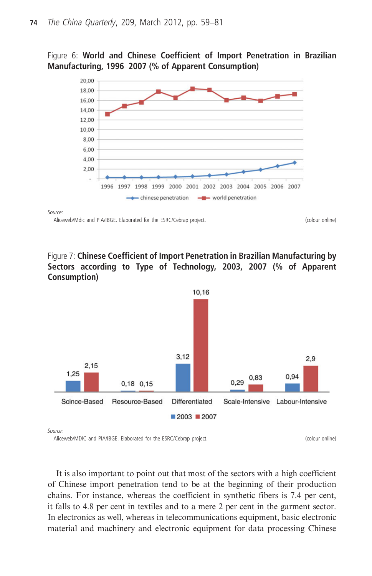Figure 6: World and Chinese Coefficient of Import Penetration in Brazilian Manufacturing, 1996–2007 (% of Apparent Consumption)



Source:

Aliceweb/Mdic and PIA/IBGE. Elaborated for the ESRC/Cebrap project. (colour online) (colour online)

Figure 7: Chinese Coefficient of Import Penetration in Brazilian Manufacturing by Sectors according to Type of Technology, 2003, 2007 (% of Apparent Consumption)



Source:

Aliceweb/MDIC and PIA/IBGE. Elaborated for the ESRC/Cebrap project. (colour online) (colour online)

It is also important to point out that most of the sectors with a high coefficient of Chinese import penetration tend to be at the beginning of their production chains. For instance, whereas the coefficient in synthetic fibers is 7.4 per cent, it falls to 4.8 per cent in textiles and to a mere 2 per cent in the garment sector. In electronics as well, whereas in telecommunications equipment, basic electronic material and machinery and electronic equipment for data processing Chinese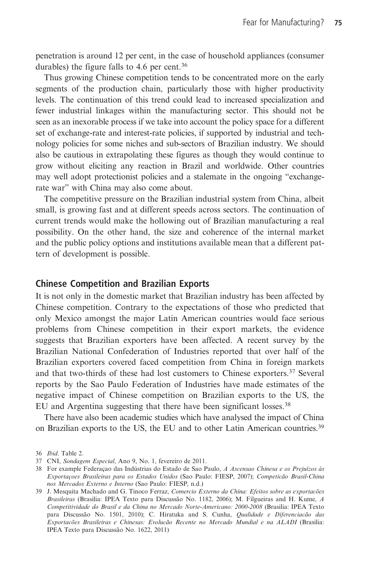penetration is around 12 per cent, in the case of household appliances (consumer durables) the figure falls to 4.6 per cent.<sup>36</sup>

Thus growing Chinese competition tends to be concentrated more on the early segments of the production chain, particularly those with higher productivity levels. The continuation of this trend could lead to increased specialization and fewer industrial linkages within the manufacturing sector. This should not be seen as an inexorable process if we take into account the policy space for a different set of exchange-rate and interest-rate policies, if supported by industrial and technology policies for some niches and sub-sectors of Brazilian industry. We should also be cautious in extrapolating these figures as though they would continue to grow without eliciting any reaction in Brazil and worldwide. Other countries may well adopt protectionist policies and a stalemate in the ongoing "exchangerate war" with China may also come about.

The competitive pressure on the Brazilian industrial system from China, albeit small, is growing fast and at different speeds across sectors. The continuation of current trends would make the hollowing out of Brazilian manufacturing a real possibility. On the other hand, the size and coherence of the internal market and the public policy options and institutions available mean that a different pattern of development is possible.

# Chinese Competition and Brazilian Exports

It is not only in the domestic market that Brazilian industry has been affected by Chinese competition. Contrary to the expectations of those who predicted that only Mexico amongst the major Latin American countries would face serious problems from Chinese competition in their export markets, the evidence suggests that Brazilian exporters have been affected. A recent survey by the Brazilian National Confederation of Industries reported that over half of the Brazilian exporters covered faced competition from China in foreign markets and that two-thirds of these had lost customers to Chinese exporters.37 Several reports by the Sao Paulo Federation of Industries have made estimates of the negative impact of Chinese competition on Brazilian exports to the US, the EU and Argentina suggesting that there have been significant losses.<sup>38</sup>

There have also been academic studies which have analysed the impact of China on Brazilian exports to the US, the EU and to other Latin American countries.39

<sup>36</sup> Ibid. Table 2.

<sup>37</sup> CNI, Sondagem Especial, Ano 9, No. 1, fevereiro de 2011.

<sup>38</sup> For example Federaçao das Indústrias do Estado de Sao Paulo, A Ascensao Chinesa e os Prejuízos às Exportaçoes Brasileiras para os Estados Unidos (Sao Paulo: FIESP, 2007); Competicão Brasil-China nos Mercados Externo e Interno (Sao Paulo: FIESP, n.d.)

<sup>39</sup> J. Mesquita Machado and G. Tinoco Ferraz, Comercio Externo da China: Efeitos sobre as exportacões Brasileiras (Brasilia: IPEA Texto para Discussão No. 1182, 2006); M. Filgueiras and H. Kume, A Competitividade do Brasil e da China no Mercado Norte-Americano: 2000-2008 (Brasilia: IPEA Texto para Discussão No. 1501, 2010); C. Hiratuka and S. Cunha, Qualidade e Diferenciacão das Exportacões Brasileiras e Chinesas: Evolucão Recente no Mercado Mundial e na ALADI (Brasilia: IPEA Texto para Discussão No. 1622, 2011)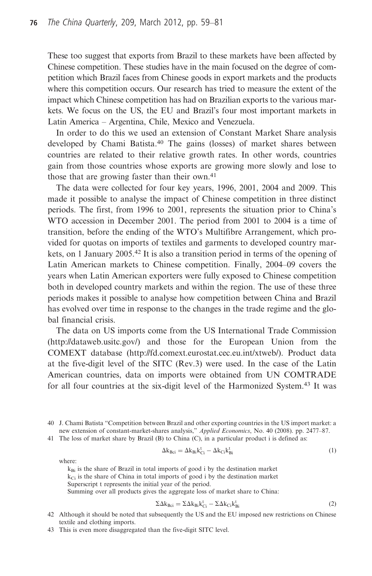These too suggest that exports from Brazil to these markets have been affected by Chinese competition. These studies have in the main focused on the degree of competition which Brazil faces from Chinese goods in export markets and the products where this competition occurs. Our research has tried to measure the extent of the impact which Chinese competition has had on Brazilian exports to the various markets. We focus on the US, the EU and Brazil's four most important markets in Latin America – Argentina, Chile, Mexico and Venezuela.

In order to do this we used an extension of Constant Market Share analysis developed by Chami Batista.<sup>40</sup> The gains (losses) of market shares between countries are related to their relative growth rates. In other words, countries gain from those countries whose exports are growing more slowly and lose to those that are growing faster than their own.<sup>41</sup>

The data were collected for four key years, 1996, 2001, 2004 and 2009. This made it possible to analyse the impact of Chinese competition in three distinct periods. The first, from 1996 to 2001, represents the situation prior to China's WTO accession in December 2001. The period from 2001 to 2004 is a time of transition, before the ending of the WTO's Multifibre Arrangement, which provided for quotas on imports of textiles and garments to developed country markets, on 1 January 2005.<sup>42</sup> It is also a transition period in terms of the opening of Latin American markets to Chinese competition. Finally, 2004–09 covers the years when Latin American exporters were fully exposed to Chinese competition both in developed country markets and within the region. The use of these three periods makes it possible to analyse how competition between China and Brazil has evolved over time in response to the changes in the trade regime and the global financial crisis.

The data on US imports come from the US International Trade Commission (http://dataweb.usitc.gov/) and those for the European Union from the COMEXT database (http://fd.comext.eurostat.cec.eu.int/xtweb/). Product data at the five-digit level of the SITC (Rev.3) were used. In the case of the Latin American countries, data on imports were obtained from UN COMTRADE for all four countries at the six-digit level of the Harmonized System.<sup>43</sup> It was

40 J. Chami Batista "Competition between Brazil and other exporting countries in the US import market: a new extension of constant-market-shares analysis," Applied Economics, No. 40 (2008). pp. 2477–87.

41 The loss of market share by Brazil (B) to China (C), in a particular product i is defined as:

$$
\Delta k_{\rm Bci} = \Delta k_{\rm Bi} k_{\rm Ci}^{\rm t} - \Delta k_{\rm Ci} k_{\rm Bi}^{\rm t} \tag{1}
$$

where:

$$
k_{\text{Bi}}
$$
 is the share of Brazil in total imports of good i by the destination market  $k_{\text{Ci}}$  is the share of China in total imports of good i by the destination market  
Superscript representing the initial year of the period.

Summing over all products gives the aggregate loss of market share to China:

$$
\Sigma \Delta k_{\text{Bci}} = \Sigma \Delta k_{\text{Bi}} k_{\text{Ci}}^{\text{t}} - \Sigma \Delta k_{\text{Ci}} k_{\text{Bi}}^{\text{t}}
$$
 (2)

- 42 Although it should be noted that subsequently the US and the EU imposed new restrictions on Chinese textile and clothing imports.
- 43 This is even more disaggregated than the five-digit SITC level.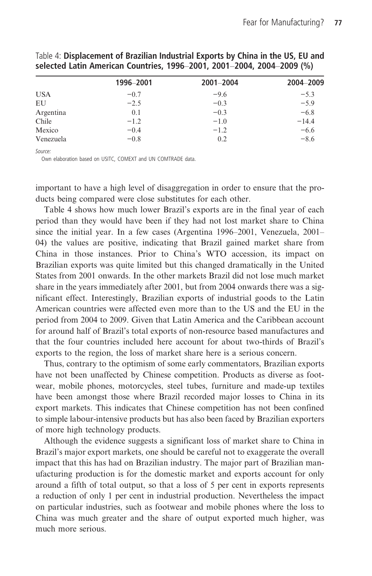|            | 1996-2001 | 2001-2004 | 2004-2009 |
|------------|-----------|-----------|-----------|
| <b>USA</b> | $-0.7$    | $-9.6$    | $-5.3$    |
| EU         | $-2.5$    | $-0.3$    | $-5.9$    |
| Argentina  | 0.1       | $-0.3$    | $-6.8$    |
| Chile      | $-1.2$    | $-1.0$    | $-14.4$   |
| Mexico     | $-0.4$    | $-1.2$    | $-6.6$    |
| Venezuela  | $-0.8$    | 0.2       | $-8.6$    |

Table 4: Displacement of Brazilian Industrial Exports by China in the US, EU and selected Latin American Countries, 1996–2001, 2001–2004, 2004–2009 (%)

Source:

Own elaboration based on USITC, COMEXT and UN COMTRADE data.

important to have a high level of disaggregation in order to ensure that the products being compared were close substitutes for each other.

Table 4 shows how much lower Brazil's exports are in the final year of each period than they would have been if they had not lost market share to China since the initial year. In a few cases (Argentina 1996–2001, Venezuela, 2001– 04) the values are positive, indicating that Brazil gained market share from China in those instances. Prior to China's WTO accession, its impact on Brazilian exports was quite limited but this changed dramatically in the United States from 2001 onwards. In the other markets Brazil did not lose much market share in the years immediately after 2001, but from 2004 onwards there was a significant effect. Interestingly, Brazilian exports of industrial goods to the Latin American countries were affected even more than to the US and the EU in the period from 2004 to 2009. Given that Latin America and the Caribbean account for around half of Brazil's total exports of non-resource based manufactures and that the four countries included here account for about two-thirds of Brazil's exports to the region, the loss of market share here is a serious concern.

Thus, contrary to the optimism of some early commentators, Brazilian exports have not been unaffected by Chinese competition. Products as diverse as footwear, mobile phones, motorcycles, steel tubes, furniture and made-up textiles have been amongst those where Brazil recorded major losses to China in its export markets. This indicates that Chinese competition has not been confined to simple labour-intensive products but has also been faced by Brazilian exporters of more high technology products.

Although the evidence suggests a significant loss of market share to China in Brazil's major export markets, one should be careful not to exaggerate the overall impact that this has had on Brazilian industry. The major part of Brazilian manufacturing production is for the domestic market and exports account for only around a fifth of total output, so that a loss of 5 per cent in exports represents a reduction of only 1 per cent in industrial production. Nevertheless the impact on particular industries, such as footwear and mobile phones where the loss to China was much greater and the share of output exported much higher, was much more serious.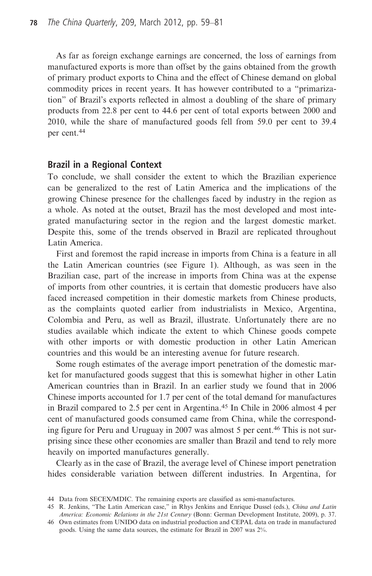As far as foreign exchange earnings are concerned, the loss of earnings from manufactured exports is more than offset by the gains obtained from the growth of primary product exports to China and the effect of Chinese demand on global commodity prices in recent years. It has however contributed to a "primarization" of Brazil's exports reflected in almost a doubling of the share of primary products from 22.8 per cent to 44.6 per cent of total exports between 2000 and 2010, while the share of manufactured goods fell from 59.0 per cent to 39.4 per cent.<sup>44</sup>

## Brazil in a Regional Context

To conclude, we shall consider the extent to which the Brazilian experience can be generalized to the rest of Latin America and the implications of the growing Chinese presence for the challenges faced by industry in the region as a whole. As noted at the outset, Brazil has the most developed and most integrated manufacturing sector in the region and the largest domestic market. Despite this, some of the trends observed in Brazil are replicated throughout Latin America.

First and foremost the rapid increase in imports from China is a feature in all the Latin American countries (see Figure 1). Although, as was seen in the Brazilian case, part of the increase in imports from China was at the expense of imports from other countries, it is certain that domestic producers have also faced increased competition in their domestic markets from Chinese products, as the complaints quoted earlier from industrialists in Mexico, Argentina, Colombia and Peru, as well as Brazil, illustrate. Unfortunately there are no studies available which indicate the extent to which Chinese goods compete with other imports or with domestic production in other Latin American countries and this would be an interesting avenue for future research.

Some rough estimates of the average import penetration of the domestic market for manufactured goods suggest that this is somewhat higher in other Latin American countries than in Brazil. In an earlier study we found that in 2006 Chinese imports accounted for 1.7 per cent of the total demand for manufactures in Brazil compared to 2.5 per cent in Argentina.<sup>45</sup> In Chile in 2006 almost 4 per cent of manufactured goods consumed came from China, while the corresponding figure for Peru and Uruguay in 2007 was almost 5 per cent.<sup>46</sup> This is not surprising since these other economies are smaller than Brazil and tend to rely more heavily on imported manufactures generally.

Clearly as in the case of Brazil, the average level of Chinese import penetration hides considerable variation between different industries. In Argentina, for

<sup>44</sup> Data from SECEX/MDIC. The remaining exports are classified as semi-manufactures.

<sup>45</sup> R. Jenkins, "The Latin American case," in Rhys Jenkins and Enrique Dussel (eds.), China and Latin America: Economic Relations in the 21st Century (Bonn: German Development Institute, 2009), p. 37.

<sup>46</sup> Own estimates from UNIDO data on industrial production and CEPAL data on trade in manufactured goods. Using the same data sources, the estimate for Brazil in 2007 was 2%.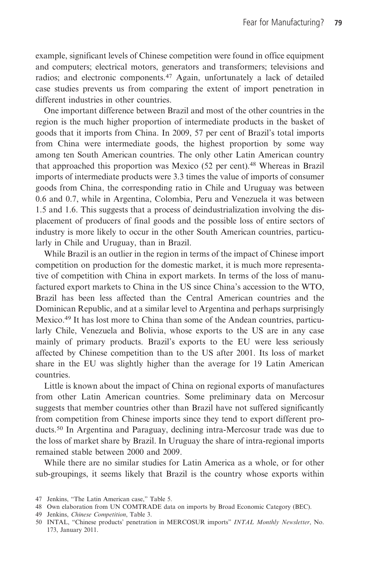example, significant levels of Chinese competition were found in office equipment and computers; electrical motors, generators and transformers; televisions and radios; and electronic components.<sup>47</sup> Again, unfortunately a lack of detailed case studies prevents us from comparing the extent of import penetration in different industries in other countries.

One important difference between Brazil and most of the other countries in the region is the much higher proportion of intermediate products in the basket of goods that it imports from China. In 2009, 57 per cent of Brazil's total imports from China were intermediate goods, the highest proportion by some way among ten South American countries. The only other Latin American country that approached this proportion was Mexico (52 per cent).48 Whereas in Brazil imports of intermediate products were 3.3 times the value of imports of consumer goods from China, the corresponding ratio in Chile and Uruguay was between 0.6 and 0.7, while in Argentina, Colombia, Peru and Venezuela it was between 1.5 and 1.6. This suggests that a process of deindustrialization involving the displacement of producers of final goods and the possible loss of entire sectors of industry is more likely to occur in the other South American countries, particularly in Chile and Uruguay, than in Brazil.

While Brazil is an outlier in the region in terms of the impact of Chinese import competition on production for the domestic market, it is much more representative of competition with China in export markets. In terms of the loss of manufactured export markets to China in the US since China's accession to the WTO, Brazil has been less affected than the Central American countries and the Dominican Republic, and at a similar level to Argentina and perhaps surprisingly Mexico.49 It has lost more to China than some of the Andean countries, particularly Chile, Venezuela and Bolivia, whose exports to the US are in any case mainly of primary products. Brazil's exports to the EU were less seriously affected by Chinese competition than to the US after 2001. Its loss of market share in the EU was slightly higher than the average for 19 Latin American countries.

Little is known about the impact of China on regional exports of manufactures from other Latin American countries. Some preliminary data on Mercosur suggests that member countries other than Brazil have not suffered significantly from competition from Chinese imports since they tend to export different products.<sup>50</sup> In Argentina and Paraguay, declining intra-Mercosur trade was due to the loss of market share by Brazil. In Uruguay the share of intra-regional imports remained stable between 2000 and 2009.

While there are no similar studies for Latin America as a whole, or for other sub-groupings, it seems likely that Brazil is the country whose exports within

<sup>47</sup> Jenkins, "The Latin American case," Table 5.

<sup>48</sup> Own elaboration from UN COMTRADE data on imports by Broad Economic Category (BEC).

<sup>49</sup> Jenkins, Chinese Competition, Table 3.

<sup>50</sup> INTAL, "Chinese products' penetration in MERCOSUR imports" INTAL Monthly Newsletter, No. 173, January 2011.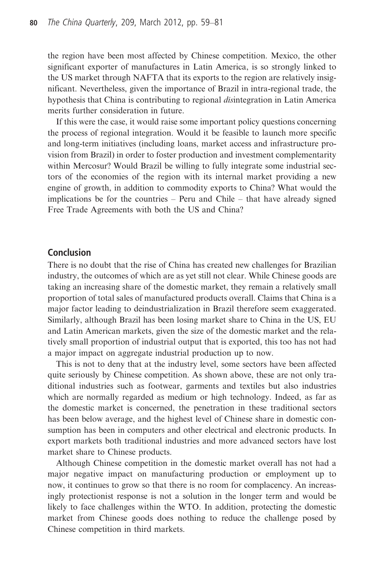the region have been most affected by Chinese competition. Mexico, the other significant exporter of manufactures in Latin America, is so strongly linked to the US market through NAFTA that its exports to the region are relatively insignificant. Nevertheless, given the importance of Brazil in intra-regional trade, the hypothesis that China is contributing to regional disintegration in Latin America merits further consideration in future.

If this were the case, it would raise some important policy questions concerning the process of regional integration. Would it be feasible to launch more specific and long-term initiatives (including loans, market access and infrastructure provision from Brazil) in order to foster production and investment complementarity within Mercosur? Would Brazil be willing to fully integrate some industrial sectors of the economies of the region with its internal market providing a new engine of growth, in addition to commodity exports to China? What would the implications be for the countries – Peru and Chile – that have already signed Free Trade Agreements with both the US and China?

## Conclusion

There is no doubt that the rise of China has created new challenges for Brazilian industry, the outcomes of which are as yet still not clear. While Chinese goods are taking an increasing share of the domestic market, they remain a relatively small proportion of total sales of manufactured products overall. Claims that China is a major factor leading to deindustrialization in Brazil therefore seem exaggerated. Similarly, although Brazil has been losing market share to China in the US, EU and Latin American markets, given the size of the domestic market and the relatively small proportion of industrial output that is exported, this too has not had a major impact on aggregate industrial production up to now.

This is not to deny that at the industry level, some sectors have been affected quite seriously by Chinese competition. As shown above, these are not only traditional industries such as footwear, garments and textiles but also industries which are normally regarded as medium or high technology. Indeed, as far as the domestic market is concerned, the penetration in these traditional sectors has been below average, and the highest level of Chinese share in domestic consumption has been in computers and other electrical and electronic products. In export markets both traditional industries and more advanced sectors have lost market share to Chinese products.

Although Chinese competition in the domestic market overall has not had a major negative impact on manufacturing production or employment up to now, it continues to grow so that there is no room for complacency. An increasingly protectionist response is not a solution in the longer term and would be likely to face challenges within the WTO. In addition, protecting the domestic market from Chinese goods does nothing to reduce the challenge posed by Chinese competition in third markets.